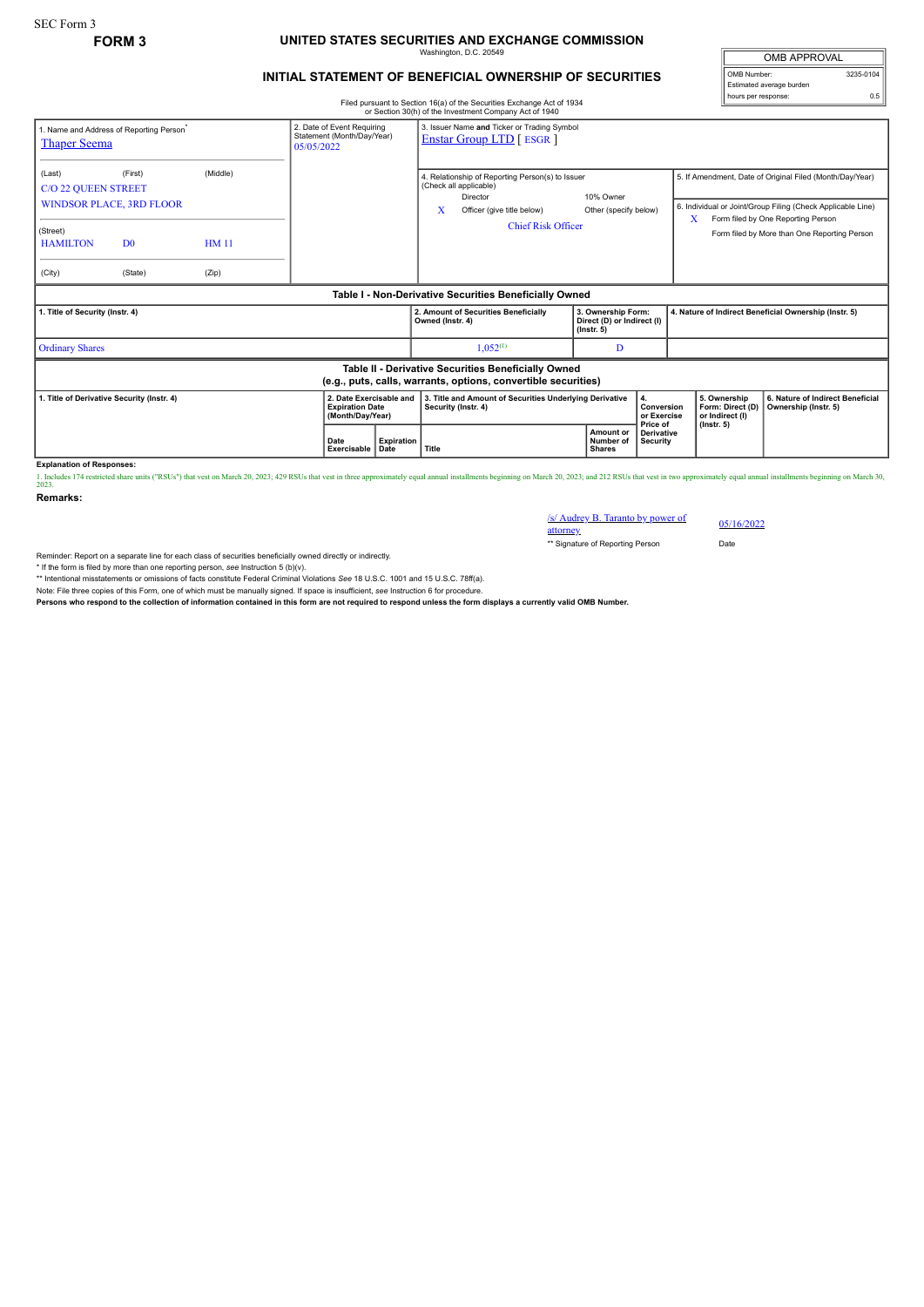## **FORM 3 UNITED STATES SECURITIES AND EXCHANGE COMMISSION** Washington, D.C. 20549

## **INITIAL STATEMENT OF BENEFICIAL OWNERSHIP OF SECURITIES**

Filed pursuant to Section 16(a) of the Securities Exchange Act of 1934 or Section 30(h) of the Investment Company Act of 1940

OMB APPROVAL OMB Number: 3235-0104 Estimated average burden hours per response: 0.5

| <b>Thaper Seema</b>                                                                                                   | 1. Name and Address of Reporting Person <sup>®</sup>                    |                                  | 05/05/2022                                                             | 3. Issuer Name and Ticker or Trading Symbol<br>2. Date of Event Requiring<br>Statement (Month/Day/Year)<br><b>Enstar Group LTD</b> [ ESGR ] |                                                                                                                                                        |                                                                      |                                                                              |                                                                         |                                                                                                                                                                                                               |
|-----------------------------------------------------------------------------------------------------------------------|-------------------------------------------------------------------------|----------------------------------|------------------------------------------------------------------------|---------------------------------------------------------------------------------------------------------------------------------------------|--------------------------------------------------------------------------------------------------------------------------------------------------------|----------------------------------------------------------------------|------------------------------------------------------------------------------|-------------------------------------------------------------------------|---------------------------------------------------------------------------------------------------------------------------------------------------------------------------------------------------------------|
| (Last)<br><b>C/O 22 QUEEN STREET</b><br>(Street)<br><b>HAMILTON</b><br>(City)                                         | (First)<br><b>WINDSOR PLACE, 3RD FLOOR</b><br>D <sub>0</sub><br>(State) | (Middle)<br><b>HM11</b><br>(Zip) |                                                                        |                                                                                                                                             | 4. Relationship of Reporting Person(s) to Issuer<br>(Check all applicable)<br>Director<br>x<br>Officer (give title below)<br><b>Chief Risk Officer</b> | 10% Owner<br>Other (specify below)                                   |                                                                              | x                                                                       | 5. If Amendment, Date of Original Filed (Month/Day/Year)<br>6. Individual or Joint/Group Filing (Check Applicable Line)<br>Form filed by One Reporting Person<br>Form filed by More than One Reporting Person |
|                                                                                                                       |                                                                         |                                  |                                                                        |                                                                                                                                             | Table I - Non-Derivative Securities Beneficially Owned                                                                                                 |                                                                      |                                                                              |                                                                         |                                                                                                                                                                                                               |
| 1. Title of Security (Instr. 4)                                                                                       |                                                                         |                                  |                                                                        |                                                                                                                                             | 2. Amount of Securities Beneficially<br>Owned (Instr. 4)                                                                                               | 3. Ownership Form:<br>Direct (D) or Indirect (I)<br>$($ lnstr. 5 $)$ |                                                                              | 4. Nature of Indirect Beneficial Ownership (Instr. 5)                   |                                                                                                                                                                                                               |
| <b>Ordinary Shares</b>                                                                                                |                                                                         |                                  |                                                                        |                                                                                                                                             | $1,052^{(1)}$                                                                                                                                          | D                                                                    |                                                                              |                                                                         |                                                                                                                                                                                                               |
| Table II - Derivative Securities Beneficially Owned<br>(e.g., puts, calls, warrants, options, convertible securities) |                                                                         |                                  |                                                                        |                                                                                                                                             |                                                                                                                                                        |                                                                      |                                                                              |                                                                         |                                                                                                                                                                                                               |
| 1. Title of Derivative Security (Instr. 4)                                                                            |                                                                         |                                  | <b>Expiration Date</b><br>(Month/Day/Year)<br>Date<br>Exercisable Date | 2. Date Exercisable and<br><b>Expiration</b>                                                                                                | 3. Title and Amount of Securities Underlying Derivative<br>Security (Instr. 4)<br>Title                                                                | Amount or<br>Number of<br><b>Shares</b>                              | 4.<br>Conversion<br>or Exercise<br>Price of<br><b>Derivative</b><br>Security | 5. Ownership<br>Form: Direct (D)<br>or Indirect (I)<br>$($ lnstr. 5 $)$ | 6. Nature of Indirect Beneficial<br>Ownership (Instr. 5)                                                                                                                                                      |

**Explanation of Responses:**

1. Includes 174 restricted share units ("RSUs") that vest on March 20, 2023; 429 RSUs that vest in three approximately equal annual installments beginning on March 20, 2023; and 212 RSUs that vest in two approximately equa

**Remarks:**

/s/ Audrey B. Taranto by power of attorney 05/16/2022 \*\* Signature of Reporting Person Date

Reminder: Report on a separate line for each class of securities beneficially owned directly or indirectly.

\* If the form is filed by more than one reporting person, *see* Instruction 5 (b)(v).

\*\* Intentional misstatements or omissions of facts constitute Federal Criminal Violations *See* 18 U.S.C. 1001 and 15 U.S.C. 78ff(a).

Note: File three copies of this Form, one of which must be manually signed. If space is insufficient, see Instruction 6 for procedure.<br>Persons who respond to the collection of information contained in this form are not req